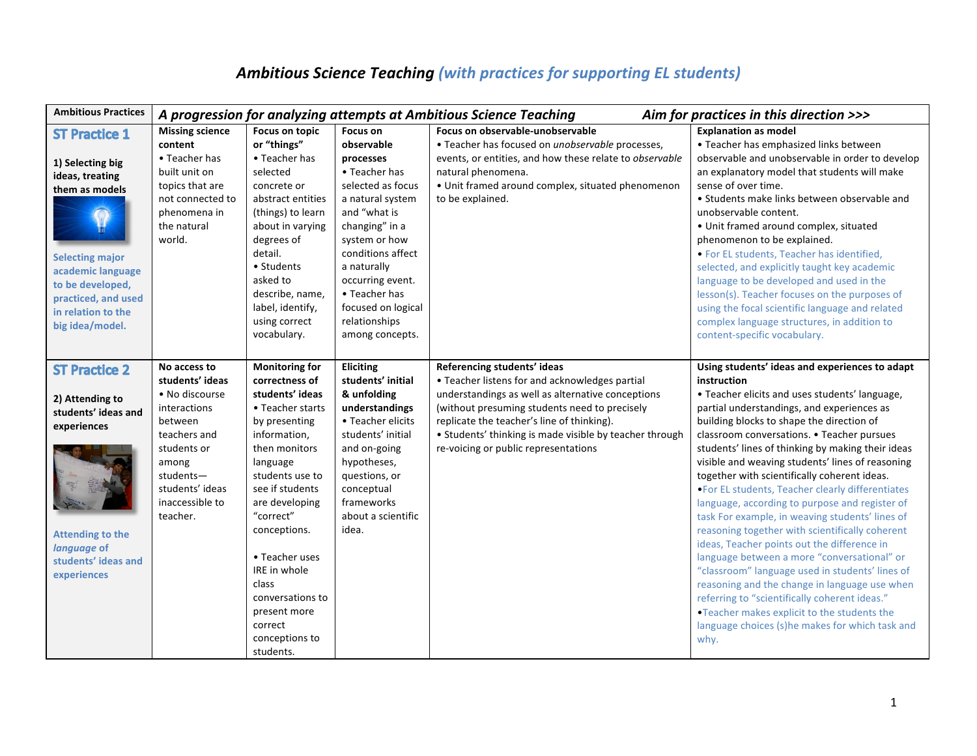## Ambitious Science Teaching (with practices for supporting EL students)

| <b>Ambitious Practices</b>                                                                                                                                                                                       | A progression for analyzing attempts at Ambitious Science Teaching                                                                                                                  |                                                                                                                                                                                                                                                                                                                                                            |                                                                                                                                                                                                                                                                                     |                                                                                                                                                                                                                                                                                                                                      | Aim for practices in this direction >>>                                                                                                                                                                                                                                                                                                                                                                                                                                                                                                                                                                                                                                                                                                                                                                                                                                                                                                                                                      |  |
|------------------------------------------------------------------------------------------------------------------------------------------------------------------------------------------------------------------|-------------------------------------------------------------------------------------------------------------------------------------------------------------------------------------|------------------------------------------------------------------------------------------------------------------------------------------------------------------------------------------------------------------------------------------------------------------------------------------------------------------------------------------------------------|-------------------------------------------------------------------------------------------------------------------------------------------------------------------------------------------------------------------------------------------------------------------------------------|--------------------------------------------------------------------------------------------------------------------------------------------------------------------------------------------------------------------------------------------------------------------------------------------------------------------------------------|----------------------------------------------------------------------------------------------------------------------------------------------------------------------------------------------------------------------------------------------------------------------------------------------------------------------------------------------------------------------------------------------------------------------------------------------------------------------------------------------------------------------------------------------------------------------------------------------------------------------------------------------------------------------------------------------------------------------------------------------------------------------------------------------------------------------------------------------------------------------------------------------------------------------------------------------------------------------------------------------|--|
| <b>ST Practice 1</b><br>1) Selecting big<br>ideas, treating<br>them as models<br><b>Selecting major</b><br>academic language<br>to be developed,<br>practiced, and used<br>in relation to the<br>big idea/model. | <b>Missing science</b><br>content<br>• Teacher has<br>built unit on<br>topics that are<br>not connected to<br>phenomena in<br>the natural<br>world.                                 | Focus on topic<br>or "things"<br>• Teacher has<br>selected<br>concrete or<br>abstract entities<br>(things) to learn<br>about in varying<br>degrees of<br>detail.<br>• Students<br>asked to<br>describe, name,<br>label, identify,<br>using correct<br>vocabulary.                                                                                          | Focus on<br>observable<br>processes<br>• Teacher has<br>selected as focus<br>a natural system<br>and "what is<br>changing" in a<br>system or how<br>conditions affect<br>a naturally<br>occurring event.<br>• Teacher has<br>focused on logical<br>relationships<br>among concepts. | Focus on observable-unobservable<br>• Teacher has focused on unobservable processes,<br>events, or entities, and how these relate to observable<br>natural phenomena.<br>• Unit framed around complex, situated phenomenon<br>to be explained.                                                                                       | <b>Explanation as model</b><br>• Teacher has emphasized links between<br>observable and unobservable in order to develop<br>an explanatory model that students will make<br>sense of over time.<br>• Students make links between observable and<br>unobservable content.<br>• Unit framed around complex, situated<br>phenomenon to be explained.<br>. For EL students, Teacher has identified,<br>selected, and explicitly taught key academic<br>language to be developed and used in the<br>lesson(s). Teacher focuses on the purposes of<br>using the focal scientific language and related<br>complex language structures, in addition to<br>content-specific vocabulary.                                                                                                                                                                                                                                                                                                               |  |
| <b>ST Practice 2</b><br>2) Attending to<br>students' ideas and<br>experiences<br><b>Attending to the</b><br>language of<br>students' ideas and<br>experiences                                                    | No access to<br>students' ideas<br>• No discourse<br>interactions<br>between<br>teachers and<br>students or<br>among<br>students-<br>students' ideas<br>inaccessible to<br>teacher. | <b>Monitoring for</b><br>correctness of<br>students' ideas<br>• Teacher starts<br>by presenting<br>information,<br>then monitors<br>language<br>students use to<br>see if students<br>are developing<br>"correct"<br>conceptions.<br>• Teacher uses<br>IRE in whole<br>class<br>conversations to<br>present more<br>correct<br>conceptions to<br>students. | Eliciting<br>students' initial<br>& unfolding<br>understandings<br>• Teacher elicits<br>students' initial<br>and on-going<br>hypotheses,<br>questions, or<br>conceptual<br>frameworks<br>about a scientific<br>idea.                                                                | Referencing students' ideas<br>• Teacher listens for and acknowledges partial<br>understandings as well as alternative conceptions<br>(without presuming students need to precisely<br>replicate the teacher's line of thinking).<br>• Students' thinking is made visible by teacher through<br>re-voicing or public representations | Using students' ideas and experiences to adapt<br>instruction<br>• Teacher elicits and uses students' language,<br>partial understandings, and experiences as<br>building blocks to shape the direction of<br>classroom conversations. • Teacher pursues<br>students' lines of thinking by making their ideas<br>visible and weaving students' lines of reasoning<br>together with scientifically coherent ideas.<br>. For EL students, Teacher clearly differentiates<br>language, according to purpose and register of<br>task For example, in weaving students' lines of<br>reasoning together with scientifically coherent<br>ideas, Teacher points out the difference in<br>language between a more "conversational" or<br>"classroom" language used in students' lines of<br>reasoning and the change in language use when<br>referring to "scientifically coherent ideas."<br>. Teacher makes explicit to the students the<br>language choices (s)he makes for which task and<br>why. |  |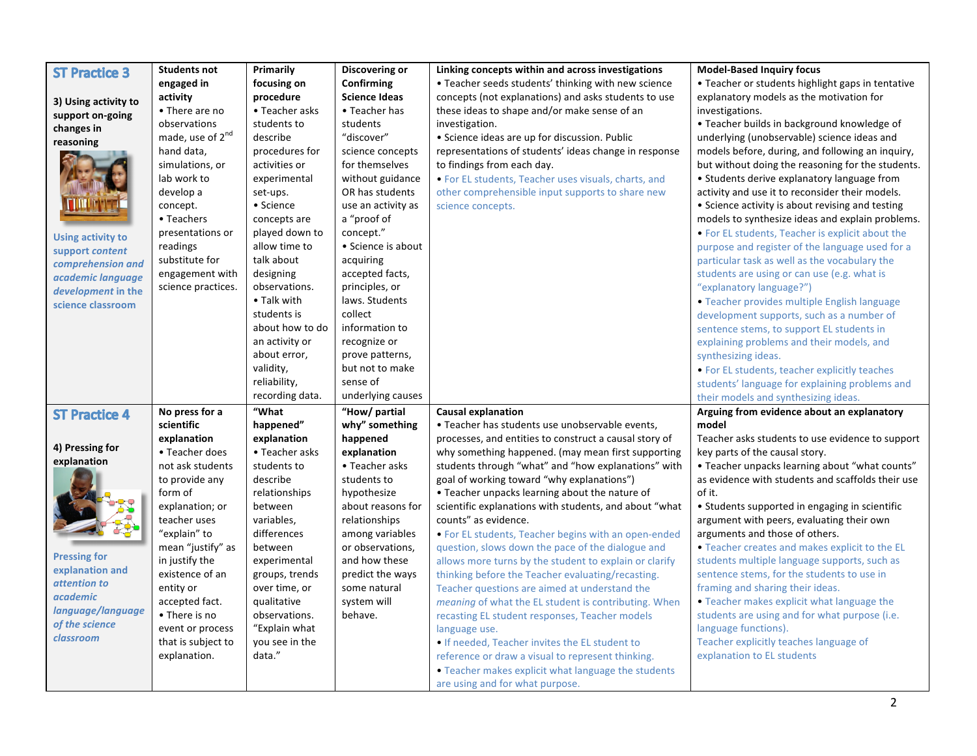| <b>ST Practice 3</b>     | <b>Students not</b>          | Primarily                      | <b>Discovering or</b> | Linking concepts within and across investigations      | <b>Model-Based Inquiry focus</b>                  |
|--------------------------|------------------------------|--------------------------------|-----------------------|--------------------------------------------------------|---------------------------------------------------|
|                          | engaged in                   | focusing on                    | Confirming            | • Teacher seeds students' thinking with new science    | • Teacher or students highlight gaps in tentative |
|                          | activity                     | procedure                      | <b>Science Ideas</b>  | concepts (not explanations) and asks students to use   | explanatory models as the motivation for          |
| 3) Using activity to     | • There are no               | • Teacher asks                 | • Teacher has         | these ideas to shape and/or make sense of an           | investigations.                                   |
| support on-going         | observations                 | students to                    | students              | investigation.                                         | • Teacher builds in background knowledge of       |
| changes in               | made, use of 2 <sup>nd</sup> | describe                       | "discover"            | • Science ideas are up for discussion. Public          | underlying (unobservable) science ideas and       |
| reasoning                | hand data,                   | procedures for                 | science concepts      | representations of students' ideas change in response  | models before, during, and following an inquiry,  |
|                          | simulations, or              | activities or                  | for themselves        | to findings from each day.                             | but without doing the reasoning for the students. |
|                          | lab work to                  | experimental                   | without guidance      | • For EL students, Teacher uses visuals, charts, and   | • Students derive explanatory language from       |
|                          | develop a                    | set-ups.                       | OR has students       |                                                        | activity and use it to reconsider their models.   |
|                          |                              | • Science                      | use an activity as    | other comprehensible input supports to share new       | • Science activity is about revising and testing  |
|                          | concept.<br>• Teachers       |                                | a "proof of           | science concepts.                                      | models to synthesize ideas and explain problems.  |
|                          | presentations or             | concepts are<br>played down to | concept."             |                                                        |                                                   |
| <b>Using activity to</b> |                              | allow time to                  | • Science is about    |                                                        | • For EL students, Teacher is explicit about the  |
| support content          | readings                     |                                |                       |                                                        | purpose and register of the language used for a   |
| comprehension and        | substitute for               | talk about                     | acquiring             |                                                        | particular task as well as the vocabulary the     |
| academic language        | engagement with              | designing                      | accepted facts,       |                                                        | students are using or can use (e.g. what is       |
| development in the       | science practices.           | observations.                  | principles, or        |                                                        | "explanatory language?")                          |
| science classroom        |                              | • Talk with                    | laws. Students        |                                                        | • Teacher provides multiple English language      |
|                          |                              | students is                    | collect               |                                                        | development supports, such as a number of         |
|                          |                              | about how to do                | information to        |                                                        | sentence stems, to support EL students in         |
|                          |                              | an activity or                 | recognize or          |                                                        | explaining problems and their models, and         |
|                          |                              | about error,                   | prove patterns,       |                                                        | synthesizing ideas.                               |
|                          |                              | validity,                      | but not to make       |                                                        | • For EL students, teacher explicitly teaches     |
|                          |                              | reliability,                   | sense of              |                                                        | students' language for explaining problems and    |
|                          |                              | recording data.                | underlying causes     |                                                        | their models and synthesizing ideas.              |
| <b>ST Practice 4</b>     | No press for a               | "What                          | "How/ partial         | <b>Causal explanation</b>                              | Arguing from evidence about an explanatory        |
|                          | scientific                   | happened"                      | why" something        | • Teacher has students use unobservable events,        | model                                             |
|                          | explanation                  | explanation                    | happened              | processes, and entities to construct a causal story of | Teacher asks students to use evidence to support  |
| 4) Pressing for          | • Teacher does               | • Teacher asks                 | explanation           | why something happened. (may mean first supporting     | key parts of the causal story.                    |
| explanation              | not ask students             | students to                    | • Teacher asks        | students through "what" and "how explanations" with    | • Teacher unpacks learning about "what counts"    |
|                          | to provide any               | describe                       | students to           | goal of working toward "why explanations")             | as evidence with students and scaffolds their use |
|                          |                              |                                |                       |                                                        |                                                   |
|                          | form of                      | relationships                  | hypothesize           | • Teacher unpacks learning about the nature of         | of it.                                            |
|                          | explanation; or              | between                        | about reasons for     | scientific explanations with students, and about "what | • Students supported in engaging in scientific    |
|                          | teacher uses                 | variables,                     | relationships         | counts" as evidence.                                   | argument with peers, evaluating their own         |
|                          | "explain" to                 | differences                    | among variables       | . For EL students, Teacher begins with an open-ended   | arguments and those of others.                    |
|                          | mean "justify" as            | between                        | or observations,      | question, slows down the pace of the dialogue and      | . Teacher creates and makes explicit to the EL    |
| <b>Pressing for</b>      | in justify the               | experimental                   | and how these         | allows more turns by the student to explain or clarify | students multiple language supports, such as      |
| explanation and          | existence of an              | groups, trends                 | predict the ways      | thinking before the Teacher evaluating/recasting.      | sentence stems, for the students to use in        |
| attention to             | entity or                    | over time, or                  | some natural          | Teacher questions are aimed at understand the          | framing and sharing their ideas.                  |
| <i>academic</i>          | accepted fact.               | qualitative                    | system will           | meaning of what the EL student is contributing. When   | • Teacher makes explicit what language the        |
| language/language        | • There is no                | observations.                  | behave.               | recasting EL student responses, Teacher models         | students are using and for what purpose (i.e.     |
| of the science           | event or process             | "Explain what                  |                       | language use.                                          | language functions).                              |
| classroom                | that is subject to           | you see in the                 |                       | • If needed, Teacher invites the EL student to         | Teacher explicitly teaches language of            |
|                          | explanation.                 | data."                         |                       | reference or draw a visual to represent thinking.      | explanation to EL students                        |
|                          |                              |                                |                       | • Teacher makes explicit what language the students    |                                                   |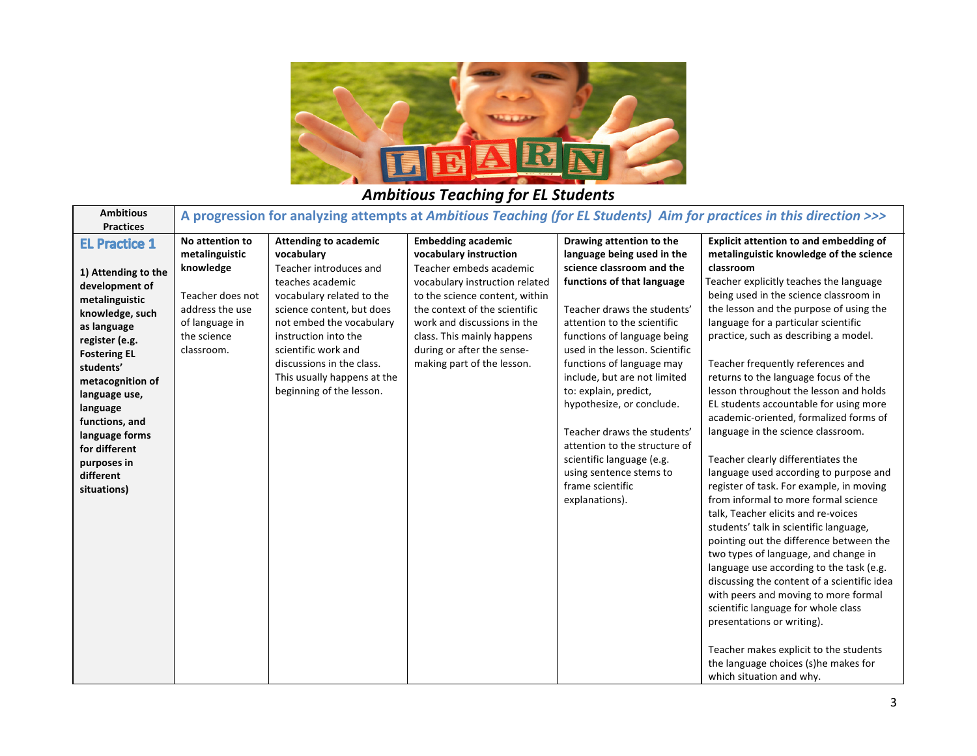

## **Ambitious Teaching for EL Students**

| <b>Ambitious</b><br><b>Practices</b>                                                                                                                                                        | A progression for analyzing attempts at Ambitious Teaching (for EL Students) Aim for practices in this direction >>>                 |                                                                                                                                                                                                                                                                                           |                                                                                                                                                                                                                                                                                                              |                                                                                                                                                                                                                                                                                                               |                                                                                                                                                                                                                                                                                                                                                                                                                                                                                                                                                                                                                                                                                                                                                                                                                                |  |
|---------------------------------------------------------------------------------------------------------------------------------------------------------------------------------------------|--------------------------------------------------------------------------------------------------------------------------------------|-------------------------------------------------------------------------------------------------------------------------------------------------------------------------------------------------------------------------------------------------------------------------------------------|--------------------------------------------------------------------------------------------------------------------------------------------------------------------------------------------------------------------------------------------------------------------------------------------------------------|---------------------------------------------------------------------------------------------------------------------------------------------------------------------------------------------------------------------------------------------------------------------------------------------------------------|--------------------------------------------------------------------------------------------------------------------------------------------------------------------------------------------------------------------------------------------------------------------------------------------------------------------------------------------------------------------------------------------------------------------------------------------------------------------------------------------------------------------------------------------------------------------------------------------------------------------------------------------------------------------------------------------------------------------------------------------------------------------------------------------------------------------------------|--|
| <b>EL Practice 1</b><br>1) Attending to the<br>development of<br>metalinguistic<br>knowledge, such<br>as language<br>register (e.g.<br><b>Fostering EL</b><br>students'<br>metacognition of | No attention to<br>metalinguistic<br>knowledge<br>Teacher does not<br>address the use<br>of language in<br>the science<br>classroom. | <b>Attending to academic</b><br>vocabulary<br>Teacher introduces and<br>teaches academic<br>vocabulary related to the<br>science content, but does<br>not embed the vocabulary<br>instruction into the<br>scientific work and<br>discussions in the class.<br>This usually happens at the | <b>Embedding academic</b><br>vocabulary instruction<br>Teacher embeds academic<br>vocabulary instruction related<br>to the science content, within<br>the context of the scientific<br>work and discussions in the<br>class. This mainly happens<br>during or after the sense-<br>making part of the lesson. | Drawing attention to the<br>language being used in the<br>science classroom and the<br>functions of that language<br>Teacher draws the students'<br>attention to the scientific<br>functions of language being<br>used in the lesson. Scientific<br>functions of language may<br>include, but are not limited | <b>Explicit attention to and embedding of</b><br>metalinguistic knowledge of the science<br>classroom<br>Teacher explicitly teaches the language<br>being used in the science classroom in<br>the lesson and the purpose of using the<br>language for a particular scientific<br>practice, such as describing a model.<br>Teacher frequently references and<br>returns to the language focus of the                                                                                                                                                                                                                                                                                                                                                                                                                            |  |
| language use,<br>language<br>functions, and<br>language forms<br>for different<br>purposes in<br>different<br>situations)                                                                   |                                                                                                                                      | beginning of the lesson.                                                                                                                                                                                                                                                                  |                                                                                                                                                                                                                                                                                                              | to: explain, predict,<br>hypothesize, or conclude.<br>Teacher draws the students'<br>attention to the structure of<br>scientific language (e.g.<br>using sentence stems to<br>frame scientific<br>explanations).                                                                                              | lesson throughout the lesson and holds<br>EL students accountable for using more<br>academic-oriented, formalized forms of<br>language in the science classroom.<br>Teacher clearly differentiates the<br>language used according to purpose and<br>register of task. For example, in moving<br>from informal to more formal science<br>talk, Teacher elicits and re-voices<br>students' talk in scientific language,<br>pointing out the difference between the<br>two types of language, and change in<br>language use according to the task (e.g.<br>discussing the content of a scientific idea<br>with peers and moving to more formal<br>scientific language for whole class<br>presentations or writing).<br>Teacher makes explicit to the students<br>the language choices (s)he makes for<br>which situation and why. |  |